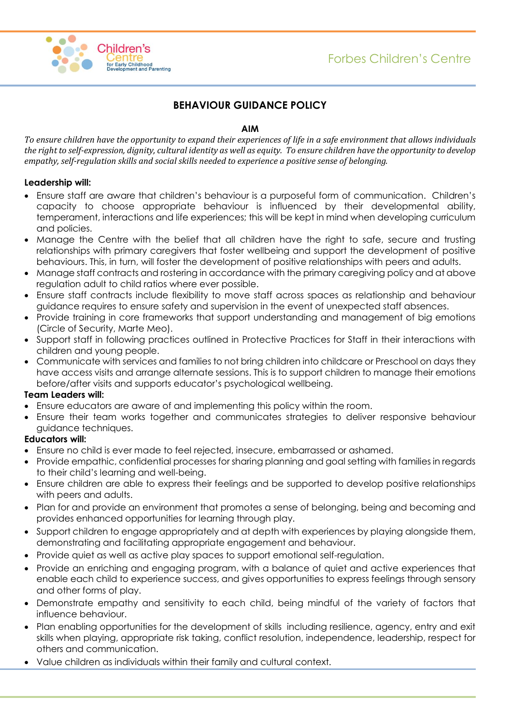

## **BEHAVIOUR GUIDANCE POLICY**

## **AIM**

*To ensure children have the opportunity to expand their experiences of life in a safe environment that allows individuals the right to self-expression, dignity, cultural identity as well as equity. To ensure children have the opportunity to develop empathy, self-regulation skills and social skills needed to experience a positive sense of belonging.* 

## **Leadership will:**

- Ensure staff are aware that children's behaviour is a purposeful form of communication. Children's capacity to choose appropriate behaviour is influenced by their developmental ability, temperament, interactions and life experiences; this will be kept in mind when developing curriculum and policies.
- Manage the Centre with the belief that all children have the right to safe, secure and trusting relationships with primary caregivers that foster wellbeing and support the development of positive behaviours. This, in turn, will foster the development of positive relationships with peers and adults.
- Manage staff contracts and rostering in accordance with the primary caregiving policy and at above regulation adult to child ratios where ever possible.
- Ensure staff contracts include flexibility to move staff across spaces as relationship and behaviour guidance requires to ensure safety and supervision in the event of unexpected staff absences.
- Provide training in core frameworks that support understanding and management of big emotions (Circle of Security, Marte Meo).
- Support staff in following practices outlined in Protective Practices for Staff in their interactions with children and young people.
- Communicate with services and families to not bring children into childcare or Preschool on days they have access visits and arrange alternate sessions. This is to support children to manage their emotions before/after visits and supports educator's psychological wellbeing.

#### **Team Leaders will:**

- Ensure educators are aware of and implementing this policy within the room.
- Ensure their team works together and communicates strategies to deliver responsive behaviour guidance techniques.

#### **Educators will:**

- Ensure no child is ever made to feel rejected, insecure, embarrassed or ashamed.
- Provide empathic, confidential processes for sharing planning and goal setting with families in regards to their child's learning and well-being.
- Ensure children are able to express their feelings and be supported to develop positive relationships with peers and adults.
- Plan for and provide an environment that promotes a sense of belonging, being and becoming and provides enhanced opportunities for learning through play.
- Support children to engage appropriately and at depth with experiences by playing alongside them, demonstrating and facilitating appropriate engagement and behaviour.
- Provide quiet as well as active play spaces to support emotional self-regulation.
- Provide an enriching and engaging program, with a balance of quiet and active experiences that enable each child to experience success, and gives opportunities to express feelings through sensory and other forms of play.
- Demonstrate empathy and sensitivity to each child, being mindful of the variety of factors that influence behaviour.
- Plan enabling opportunities for the development of skills including resilience, agency, entry and exit skills when playing, appropriate risk taking, conflict resolution, independence, leadership, respect for others and communication.
- Value children as individuals within their family and cultural context.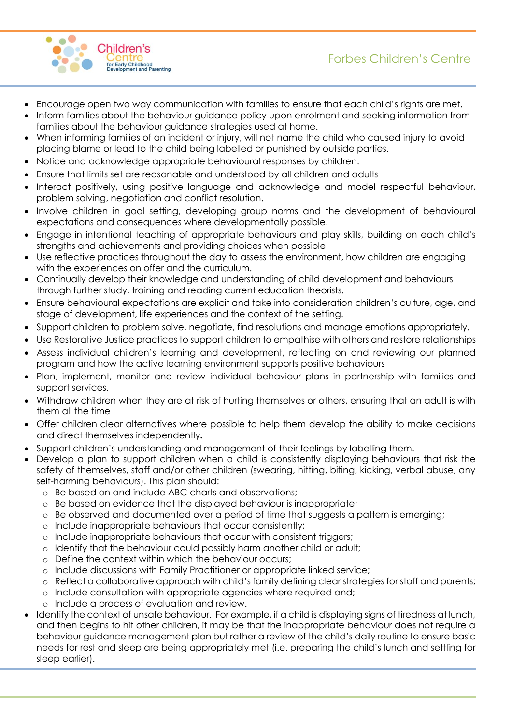



- Encourage open two way communication with families to ensure that each child's rights are met.
- Inform families about the behaviour guidance policy upon enrolment and seeking information from families about the behaviour guidance strategies used at home.
- When informing families of an incident or injury, will not name the child who caused injury to avoid placing blame or lead to the child being labelled or punished by outside parties.
- Notice and acknowledge appropriate behavioural responses by children.
- Ensure that limits set are reasonable and understood by all children and adults
- Interact positively, using positive language and acknowledge and model respectful behaviour, problem solving, negotiation and conflict resolution.
- Involve children in goal setting, developing group norms and the development of behavioural expectations and consequences where developmentally possible.
- Engage in intentional teaching of appropriate behaviours and play skills, building on each child's strengths and achievements and providing choices when possible
- Use reflective practices throughout the day to assess the environment, how children are engaging with the experiences on offer and the curriculum.
- Continually develop their knowledge and understanding of child development and behaviours through further study, training and reading current education theorists.
- Ensure behavioural expectations are explicit and take into consideration children's culture, age, and stage of development, life experiences and the context of the setting.
- Support children to problem solve, negotiate, find resolutions and manage emotions appropriately.
- Use Restorative Justice practices to support children to empathise with others and restore relationships
- Assess individual children's learning and development, reflecting on and reviewing our planned program and how the active learning environment supports positive behaviours
- Plan, implement, monitor and review individual behaviour plans in partnership with families and support services.
- Withdraw children when they are at risk of hurting themselves or others, ensuring that an adult is with them all the time
- Offer children clear alternatives where possible to help them develop the ability to make decisions and direct themselves independently**.**
- Support children's understanding and management of their feelings by labelling them.
- Develop a plan to support children when a child is consistently displaying behaviours that risk the safety of themselves, staff and/or other children (swearing, hitting, biting, kicking, verbal abuse, any self-harming behaviours). This plan should:
	- o Be based on and include ABC charts and observations;
	- o Be based on evidence that the displayed behaviour is inappropriate;
	- o Be observed and documented over a period of time that suggests a pattern is emerging;
	- o Include inappropriate behaviours that occur consistently;
	- o Include inappropriate behaviours that occur with consistent triggers;
	- o Identify that the behaviour could possibly harm another child or adult;
	- o Define the context within which the behaviour occurs;
	- o Include discussions with Family Practitioner or appropriate linked service;
	- o Reflect a collaborative approach with child's family defining clear strategies for staff and parents;
	- o Include consultation with appropriate agencies where required and;
	- o Include a process of evaluation and review.
- Identify the context of unsafe behaviour. For example, if a child is displaying signs of tiredness at lunch, and then begins to hit other children, it may be that the inappropriate behaviour does not require a behaviour guidance management plan but rather a review of the child's daily routine to ensure basic needs for rest and sleep are being appropriately met (i.e. preparing the child's lunch and settling for sleep earlier).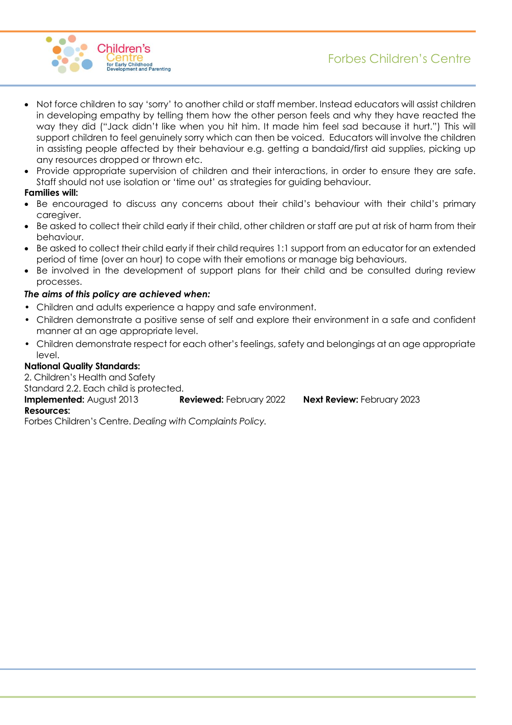

- Not force children to say 'sorry' to another child or staff member. Instead educators will assist children in developing empathy by telling them how the other person feels and why they have reacted the way they did ("Jack didn't like when you hit him. It made him feel sad because it hurt.") This will support children to feel genuinely sorry which can then be voiced. Educators will involve the children in assisting people affected by their behaviour e.g. getting a bandaid/first aid supplies, picking up any resources dropped or thrown etc.
- Provide appropriate supervision of children and their interactions, in order to ensure they are safe. Staff should not use isolation or 'time out' as strategies for guiding behaviour.

#### **Families will:**

- Be encouraged to discuss any concerns about their child's behaviour with their child's primary caregiver.
- Be asked to collect their child early if their child, other children or staff are put at risk of harm from their behaviour.
- Be asked to collect their child early if their child requires 1:1 support from an educator for an extended period of time (over an hour) to cope with their emotions or manage big behaviours.
- Be involved in the development of support plans for their child and be consulted during review processes.

## *The aims of this policy are achieved when:*

- Children and adults experience a happy and safe environment.
- Children demonstrate a positive sense of self and explore their environment in a safe and confident manner at an age appropriate level.
- Children demonstrate respect for each other's feelings, safety and belongings at an age appropriate level.

## **National Quality Standards:**

2. Children's Health and Safety Standard 2.2. Each child is protected. **Implemented:** August 2013 **Reviewed:** February 2022 **Next Review:** February 2023 **Resources:**

Forbes Children's Centre. *Dealing with Complaints Policy.*